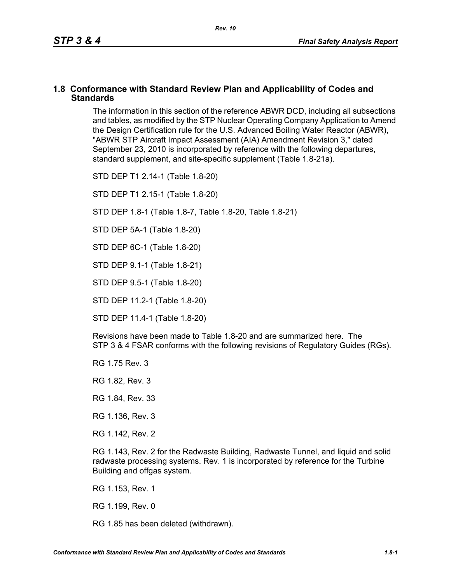### **1.8 Conformance with Standard Review Plan and Applicability of Codes and Standards**

The information in this section of the reference ABWR DCD, including all subsections and tables, as modified by the STP Nuclear Operating Company Application to Amend the Design Certification rule for the U.S. Advanced Boiling Water Reactor (ABWR), "ABWR STP Aircraft Impact Assessment (AIA) Amendment Revision 3," dated September 23, 2010 is incorporated by reference with the following departures, standard supplement, and site-specific supplement (Table 1.8-21a).

STD DEP T1 2.14-1 (Table 1.8-20)

STD DEP T1 2.15-1 (Table 1.8-20)

STD DEP 1.8-1 (Table 1.8-7, Table [1.8-20,](#page-2-0) Table [1.8-21\)](#page-5-0)

STD DEP 5A-1 (Table 1.8-20)

STD DEP 6C-1 (Table [1.8-20\)](#page-2-0)

STD DEP 9.1-1 (Table 1.8-21)

STD DEP 9.5-1 (Table 1.8-20)

STD DEP 11.2-1 (Table [1.8-20](#page-2-0))

STD DEP 11.4-1 (Table 1.8-20)

Revisions have been made to Table [1.8-20](#page-2-0) and are summarized here. The STP 3 & 4 FSAR conforms with the following revisions of Regulatory Guides (RGs).

RG 1.75 Rev. 3

RG 1.82, Rev. 3

RG 1.84, Rev. 33

RG 1.136, Rev. 3

RG 1.142, Rev. 2

RG 1.143, Rev. 2 for the Radwaste Building, Radwaste Tunnel, and liquid and solid radwaste processing systems. Rev. 1 is incorporated by reference for the Turbine Building and offgas system.

RG 1.153, Rev. 1

RG 1.199, Rev. 0

RG 1.85 has been deleted (withdrawn).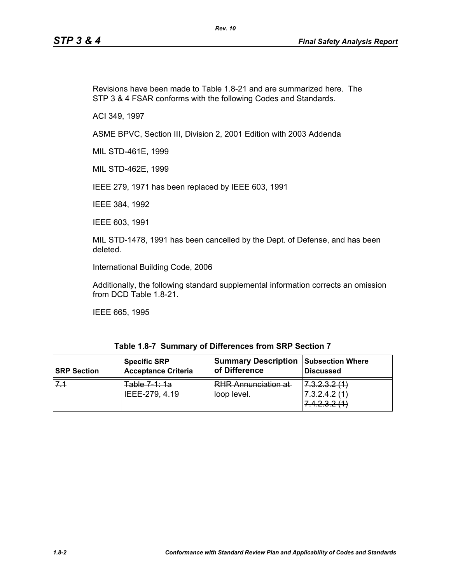Revisions have been made to Table [1.8-21](#page-5-0) and are summarized here. The STP 3 & 4 FSAR conforms with the following Codes and Standards.

ACI 349, 1997

ASME BPVC, Section III, Division 2, 2001 Edition with 2003 Addenda

MIL STD-461E, 1999

MIL STD-462E, 1999

IEEE 279, 1971 has been replaced by IEEE 603, 1991

IEEE 384, 1992

IEEE 603, 1991

MIL STD-1478, 1991 has been cancelled by the Dept. of Defense, and has been deleted.

International Building Code, 2006

Additionally, the following standard supplemental information corrects an omission from DCD Table 1.8-21.

IEEE 665, 1995

| Table 1.8-7 Summary of Differences from SRP Section 7 |
|-------------------------------------------------------|
|-------------------------------------------------------|

| <b>SRP Section</b> | <b>Specific SRP</b>                                       | <b>Summary Description</b>                | <b>Subsection Where</b>                                                                                                      |
|--------------------|-----------------------------------------------------------|-------------------------------------------|------------------------------------------------------------------------------------------------------------------------------|
|                    | <b>Acceptance Criteria</b>                                | of Difference                             | <b>Discussed</b>                                                                                                             |
|                    | Tahla 7 1: 1a<br><del>uvic 1 . 10</del><br>IEEE 279, 4.19 | <b>RHR Annunciation at</b><br>loop level. | 7 0 0 0 1 1<br>T.0.2.0.2.1<br>7 2 2 4 2 4 1<br>7 <del>.0.2.7.2 (T</del><br>7 1 7 2 9 11 1<br><del>1. 1. 4. 0. 4. 1. 1.</del> |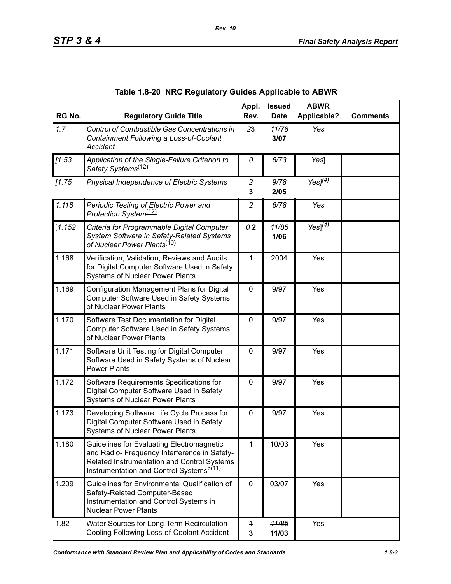<span id="page-2-0"></span>

| RG No.  | <b>Regulatory Guide Title</b>                                                                                                                                                                    | Appl.<br>Rev.                | <b>Issued</b><br><b>Date</b> | <b>ABWR</b><br><b>Applicable?</b> | <b>Comments</b> |
|---------|--------------------------------------------------------------------------------------------------------------------------------------------------------------------------------------------------|------------------------------|------------------------------|-----------------------------------|-----------------|
| 1.7     | Control of Combustible Gas Concentrations in<br>Containment Following a Loss-of-Coolant<br><b>Accident</b>                                                                                       | 23                           | 11/78<br>3/07                | Yes                               |                 |
| [1.53]  | Application of the Single-Failure Criterion to<br>Safety Systems <sup>(12)</sup>                                                                                                                 | 0                            | 6/73                         | Yes]                              |                 |
| 11.75   | Physical Independence of Electric Systems                                                                                                                                                        | $\overline{2}$<br>3          | 9/78<br>2/05                 | Yes $J^{(\overline{4})}$          |                 |
| 1.118   | Periodic Testing of Electric Power and<br>Protection System <sup>(12)</sup>                                                                                                                      | $\overline{c}$               | 6/78                         | Yes                               |                 |
| [1.152] | Criteria for Programmable Digital Computer<br>System Software in Safety-Related Systems<br>of Nuclear Power Plants <sup>(10)</sup>                                                               | $\theta$ 2                   | 11/85<br>1/06                | Yes] $(4)$                        |                 |
| 1.168   | Verification, Validation, Reviews and Audits<br>for Digital Computer Software Used in Safety<br><b>Systems of Nuclear Power Plants</b>                                                           | 1                            | 2004                         | Yes                               |                 |
| 1.169   | Configuration Management Plans for Digital<br>Computer Software Used in Safety Systems<br>of Nuclear Power Plants                                                                                | $\mathbf 0$                  | 9/97                         | Yes                               |                 |
| 1.170   | Software Test Documentation for Digital<br>Computer Software Used in Safety Systems<br>of Nuclear Power Plants                                                                                   | 0                            | 9/97                         | Yes                               |                 |
| 1.171   | Software Unit Testing for Digital Computer<br>Software Used in Safety Systems of Nuclear<br><b>Power Plants</b>                                                                                  | $\mathbf 0$                  | 9/97                         | Yes                               |                 |
| 1.172   | Software Requirements Specifications for<br>Digital Computer Software Used in Safety<br><b>Systems of Nuclear Power Plants</b>                                                                   | 0                            | 9/97                         | Yes                               |                 |
| 1.173   | Developing Software Life Cycle Process for<br>Digital Computer Software Used in Safety<br><b>Systems of Nuclear Power Plants</b>                                                                 | 0                            | 9/97                         | Yes                               |                 |
| 1.180   | Guidelines for Evaluating Electromagnetic<br>and Radio- Frequency Interference in Safety-<br>Related Instrumentation and Control Systems<br>Instrumentation and Control Systems <sup>6(11)</sup> | 1                            | 10/03                        | Yes                               |                 |
| 1.209   | Guidelines for Environmental Qualification of<br>Safety-Related Computer-Based<br>Instrumentation and Control Systems in<br><b>Nuclear Power Plants</b>                                          | $\mathbf 0$                  | 03/07                        | Yes                               |                 |
| 1.82    | Water Sources for Long-Term Recirculation<br>Cooling Following Loss-of-Coolant Accident                                                                                                          | $\overline{\mathbf{f}}$<br>3 | 11/85<br>11/03               | Yes                               |                 |

|  | Table 1.8-20 NRC Regulatory Guides Applicable to ABWR |  |  |  |
|--|-------------------------------------------------------|--|--|--|
|--|-------------------------------------------------------|--|--|--|

*Rev. 10*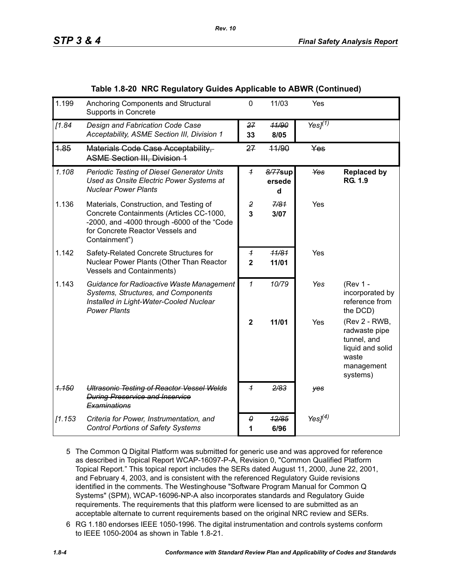| 1.199   | Anchoring Components and Structural<br>Supports in Concrete                                                                                                                             | $\mathbf 0$                                  | 11/03                  | Yes                      |                                                                                                      |
|---------|-----------------------------------------------------------------------------------------------------------------------------------------------------------------------------------------|----------------------------------------------|------------------------|--------------------------|------------------------------------------------------------------------------------------------------|
| [1.84]  | Design and Fabrication Code Case<br>Acceptability, ASME Section III, Division 1                                                                                                         | 27<br>33                                     | 41/90<br>8/05          | Yes $\overline{J^{(1)}}$ |                                                                                                      |
| 1.85    | Materials Code Case Acceptability,<br><b>ASME Section III, Division 1</b>                                                                                                               | 27                                           | 44/90                  | Yes                      |                                                                                                      |
| 1.108   | Periodic Testing of Diesel Generator Units<br>Used as Onsite Electric Power Systems at<br><b>Nuclear Power Plants</b>                                                                   | $\overline{1}$                               | 8/77sup<br>ersede<br>d | Yes                      | <b>Replaced by</b><br><b>RG. 1.9</b>                                                                 |
| 1.136   | Materials, Construction, and Testing of<br>Concrete Containments (Articles CC-1000,<br>-2000, and -4000 through -6000 of the "Code<br>for Concrete Reactor Vessels and<br>Containment") | $\overline{2}$<br>$\overline{3}$             | 7/81<br>3/07           | Yes                      |                                                                                                      |
| 1.142   | Safety-Related Concrete Structures for<br>Nuclear Power Plants (Other Than Reactor<br><b>Vessels and Containments)</b>                                                                  | $\boldsymbol{\mathcal{L}}$<br>$\overline{2}$ | 11/81<br>11/01         | Yes                      |                                                                                                      |
| 1.143   | Guidance for Radioactive Waste Management<br>Systems, Structures, and Components<br>Installed in Light-Water-Cooled Nuclear<br><b>Power Plants</b>                                      | $\mathcal I$                                 | 10/79                  | Yes                      | (Rev 1 -<br>incorporated by<br>reference from<br>the DCD)                                            |
|         |                                                                                                                                                                                         | $\mathbf{2}$                                 | 11/01                  | Yes                      | (Rev 2 - RWB,<br>radwaste pipe<br>tunnel, and<br>liquid and solid<br>waste<br>management<br>systems) |
| 1.150   | <b>Ultrasonic Testing of Reactor Vessel Welds</b><br><b>During Preservice and Inservice</b><br>Examinations                                                                             | $\overline{1}$                               | 2/83                   | yes                      |                                                                                                      |
| [1.153] | Criteria for Power, Instrumentation, and<br><b>Control Portions of Safety Systems</b>                                                                                                   | 0<br>1                                       | 12/85<br>6/96          | Yes $J(4)$               |                                                                                                      |

#### **Table 1.8-20 NRC Regulatory Guides Applicable to ABWR (Continued)**

- 5 The Common Q Digital Platform was submitted for generic use and was approved for reference as described in Topical Report WCAP-16097-P-A, Revision 0, "Common Qualified Platform Topical Report." This topical report includes the SERs dated August 11, 2000, June 22, 2001, and February 4, 2003, and is consistent with the referenced Regulatory Guide revisions identified in the comments. The Westinghouse "Software Program Manual for Common Q Systems" (SPM), WCAP-16096-NP-A also incorporates standards and Regulatory Guide requirements. The requirements that this platform were licensed to are submitted as an acceptable alternate to current requirements based on the original NRC review and SERs.
- 6 RG 1.180 endorses IEEE 1050-1996. The digital instrumentation and controls systems conform to IEEE 1050-2004 as shown in Table 1.8-21.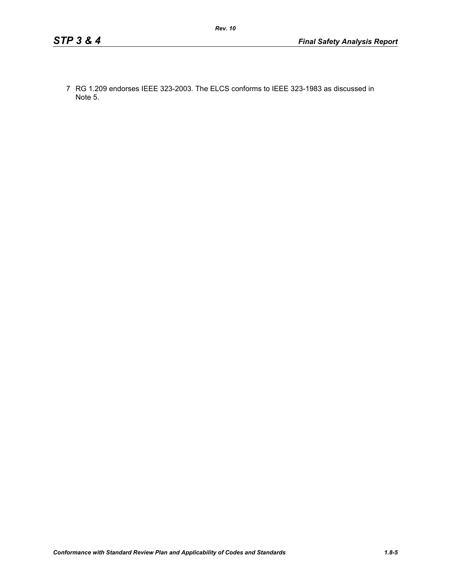7 RG 1.209 endorses IEEE 323-2003. The ELCS conforms to IEEE 323-1983 as discussed in Note 5.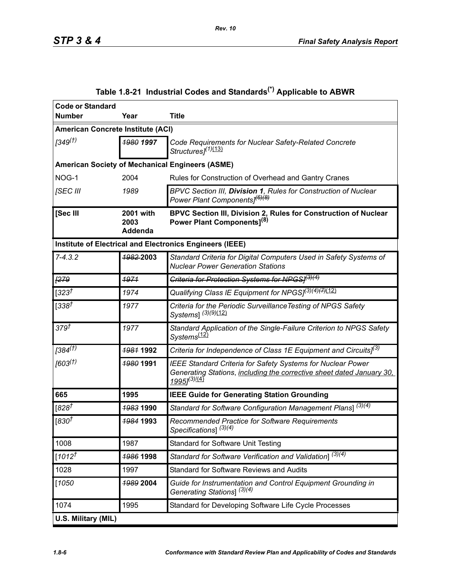<span id="page-5-0"></span>

| <b>Code or Standard</b>           |                              |                                                                                                                                                                                    |
|-----------------------------------|------------------------------|------------------------------------------------------------------------------------------------------------------------------------------------------------------------------------|
| <b>Number</b>                     | Year                         | <b>Title</b>                                                                                                                                                                       |
| American Concrete Institute (ACI) |                              |                                                                                                                                                                                    |
| 1349 <sup>(†)</sup>               | 1980 1997                    | Code Requirements for Nuclear Safety-Related Concrete<br>Structures] <sup>(1)(13)</sup>                                                                                            |
|                                   |                              | <b>American Society of Mechanical Engineers (ASME)</b>                                                                                                                             |
| NOG-1                             | 2004                         | Rules for Construction of Overhead and Gantry Cranes                                                                                                                               |
| [SEC III                          | 1989                         | BPVC Section III, Division 1, Rules for Construction of Nuclear<br>Power Plant Components] <sup>(6)(8)</sup>                                                                       |
| [Sec III                          | 2001 with<br>2003<br>Addenda | BPVC Section III, Division 2, Rules for Construction of Nuclear<br>Power Plant Components] <sup>(8)</sup>                                                                          |
|                                   |                              | Institute of Electrical and Electronics Engineers (IEEE)                                                                                                                           |
| $7 - 4.3.2$                       | 1982-2003                    | Standard Criteria for Digital Computers Used in Safety Systems of<br><b>Nuclear Power Generation Stations</b>                                                                      |
| [279]                             | 1971                         | Criteria for Protection Systems for NPGS/(3)(4)                                                                                                                                    |
| [323 $t$                          | 1974                         | Qualifying Class IE Equipment for NPGS] <sup>(3)(4)(7)</sup> (12)                                                                                                                  |
| [338 $†$                          | 1977                         | Criteria for the Periodic Surveillance Testing of NPGS Safety<br>Systems] (3)(9)(12)                                                                                               |
| 379 <sup>†</sup>                  | 1977                         | Standard Application of the Single-Failure Criterion to NPGS Safety<br>Systems <sup>(12)</sup>                                                                                     |
| $[384^{(7)}]$                     | <b>1981 1992</b>             | Criteria for Independence of Class 1E Equipment and Circuits] <sup>(3)</sup>                                                                                                       |
| [603 <sup>(†)</sup> ]             | <del>1980</del> 1991         | <b>IEEE Standard Criteria for Safety Systems for Nuclear Power</b><br>Generating Stations, including the corrective sheet dated January 30,<br>19951 <sup>(3)</sup> <sup>(4)</sup> |
| 665                               | 1995                         | <b>IEEE Guide for Generating Station Grounding</b>                                                                                                                                 |
| [828]                             | <b>19831990</b>              | Standard for Software Configuration Management Plans] $\sqrt{(3)(4)}$                                                                                                              |
| [830 $\bar{t}$                    | 1984 1993                    | Recommended Practice for Software Requirements<br>Specifications] <sup>(3)(4)</sup>                                                                                                |
| 1008                              | 1987                         | <b>Standard for Software Unit Testing</b>                                                                                                                                          |
| $[1012^{\dagger}]$                | 1986 1998                    | Standard for Software Verification and Validation] <sup>(3)(4)</sup>                                                                                                               |
| 1028                              | 1997                         | <b>Standard for Software Reviews and Audits</b>                                                                                                                                    |
| [1050]                            | 1989 2004                    | Guide for Instrumentation and Control Equipment Grounding in<br>Generating Stations] <sup>(3)(4)</sup>                                                                             |
| 1074                              | 1995                         | Standard for Developing Software Life Cycle Processes                                                                                                                              |
| U.S. Military (MIL)               |                              |                                                                                                                                                                                    |

# **Table 1.8-21 Industrial Codes and Standards(\*) Applicable to ABWR**

*Rev. 10*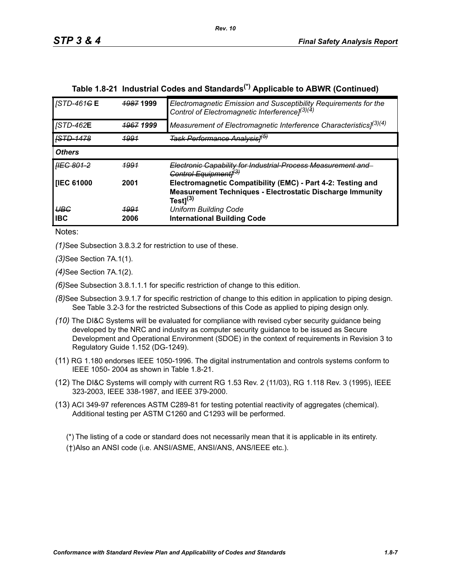| STP 3 & 4 | <b>Final Safety Analysis Report</b> |
|-----------|-------------------------------------|
|           |                                     |

| <b>STD-461GE</b>        | <b>1987 1999</b>     | Electromagnetic Emission and Susceptibility Requirements for the<br>Control of Electromagnetic Interference] <sup>(3)(4)</sup>                    |
|-------------------------|----------------------|---------------------------------------------------------------------------------------------------------------------------------------------------|
| <b>STD-462E</b>         | <del>1967</del> 1999 | Measurement of Electromagnetic Interference Characteristics] <sup>(3)(4)</sup>                                                                    |
| <b>ISTD-1478</b>        | 4991                 | <del>Task Performance Analysis1<sup>(5)</sup></del>                                                                                               |
| <b>Others</b>           |                      |                                                                                                                                                   |
| <i><b>HEG 801-2</b></i> | 4991                 | Electronic Capability for Industrial Process Measurement and<br>Control Equipment <sub>1</sub> <sup>(3)</sup>                                     |
| <b>IEC 61000</b>        | 2001                 | Electromagnetic Compatibility (EMC) - Part 4-2: Testing and<br><b>Measurement Techniques - Electrostatic Discharge Immunity</b><br>Test $]^{(3)}$ |
| UBG<br><b>IBC</b>       | <u> 1991</u><br>2006 | <b>Uniform Building Code</b><br><b>International Building Code</b>                                                                                |

# **Table 1.8-21 Industrial Codes and Standards(\*) Applicable to ABWR (Continued)**

Notes:

*(1)*See Subsection 3.8.3.2 for restriction to use of these.

*(3)*See Section 7A.1(1).

*(4)*See Section 7A.1(2).

*(6)*See Subsection 3.8.1.1.1 for specific restriction of change to this edition.

- *(8)*See Subsection 3.9.1.7 for specific restriction of change to this edition in application to piping design. See Table 3.2-3 for the restricted Subsections of this Code as applied to piping design only.
- *(10)* The DI&C Systems will be evaluated for compliance with revised cyber security guidance being developed by the NRC and industry as computer security guidance to be issued as Secure Development and Operational Environment (SDOE) in the context of requirements in Revision 3 to Regulatory Guide 1.152 (DG-1249).
- (11) RG 1.180 endorses IEEE 1050-1996. The digital instrumentation and controls systems conform to IEEE 1050- 2004 as shown in Table 1.8-21.
- (12) The DI&C Systems will comply with current RG 1.53 Rev. 2 (11/03), RG 1.118 Rev. 3 (1995), IEEE 323-2003, IEEE 338-1987, and IEEE 379-2000.
- (13) ACI 349-97 references ASTM C289-81 for testing potential reactivity of aggregates (chemical). Additional testing per ASTM C1260 and C1293 will be performed.

(\*) The listing of a code or standard does not necessarily mean that it is applicable in its entirety. (†)Also an ANSI code (i.e. ANSI/ASME, ANSI/ANS, ANS/IEEE etc.).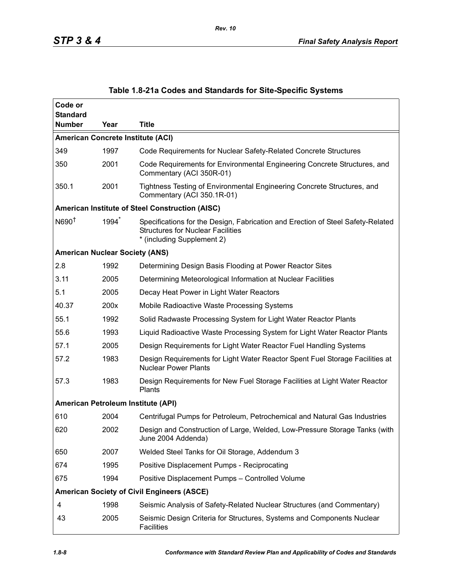| Code or<br><b>Standard</b>               |      |                                                                                                                                                           |
|------------------------------------------|------|-----------------------------------------------------------------------------------------------------------------------------------------------------------|
| <b>Number</b>                            | Year | <b>Title</b>                                                                                                                                              |
| <b>American Concrete Institute (ACI)</b> |      |                                                                                                                                                           |
| 349                                      | 1997 | Code Requirements for Nuclear Safety-Related Concrete Structures                                                                                          |
| 350                                      | 2001 | Code Requirements for Environmental Engineering Concrete Structures, and<br>Commentary (ACI 350R-01)                                                      |
| 350.1                                    | 2001 | Tightness Testing of Environmental Engineering Concrete Structures, and<br>Commentary (ACI 350.1R-01)                                                     |
|                                          |      | American Institute of Steel Construction (AISC)                                                                                                           |
| N690 <sup>†</sup>                        | 1994 | Specifications for the Design, Fabrication and Erection of Steel Safety-Related<br><b>Structures for Nuclear Facilities</b><br>* (including Supplement 2) |
| <b>American Nuclear Society (ANS)</b>    |      |                                                                                                                                                           |
| 2.8                                      | 1992 | Determining Design Basis Flooding at Power Reactor Sites                                                                                                  |
| 3.11                                     | 2005 | Determining Meteorological Information at Nuclear Facilities                                                                                              |
| 5.1                                      | 2005 | Decay Heat Power in Light Water Reactors                                                                                                                  |
| 40.37                                    | 200x | Mobile Radioactive Waste Processing Systems                                                                                                               |
| 55.1                                     | 1992 | Solid Radwaste Processing System for Light Water Reactor Plants                                                                                           |
| 55.6                                     | 1993 | Liquid Radioactive Waste Processing System for Light Water Reactor Plants                                                                                 |
| 57.1                                     | 2005 | Design Requirements for Light Water Reactor Fuel Handling Systems                                                                                         |
| 57.2                                     | 1983 | Design Requirements for Light Water Reactor Spent Fuel Storage Facilities at<br><b>Nuclear Power Plants</b>                                               |
| 57.3                                     | 1983 | Design Requirements for New Fuel Storage Facilities at Light Water Reactor<br>Plants                                                                      |
| American Petroleum Institute (API)       |      |                                                                                                                                                           |
| 610                                      | 2004 | Centrifugal Pumps for Petroleum, Petrochemical and Natural Gas Industries                                                                                 |
| 620                                      | 2002 | Design and Construction of Large, Welded, Low-Pressure Storage Tanks (with<br>June 2004 Addenda)                                                          |
| 650                                      | 2007 | Welded Steel Tanks for Oil Storage, Addendum 3                                                                                                            |
| 674                                      | 1995 | Positive Displacement Pumps - Reciprocating                                                                                                               |
| 675                                      | 1994 | Positive Displacement Pumps - Controlled Volume                                                                                                           |
|                                          |      | <b>American Society of Civil Engineers (ASCE)</b>                                                                                                         |
| 4                                        | 1998 | Seismic Analysis of Safety-Related Nuclear Structures (and Commentary)                                                                                    |
| 43                                       | 2005 | Seismic Design Criteria for Structures, Systems and Components Nuclear<br><b>Facilities</b>                                                               |

## **Table 1.8-21a Codes and Standards for Site-Specific Systems**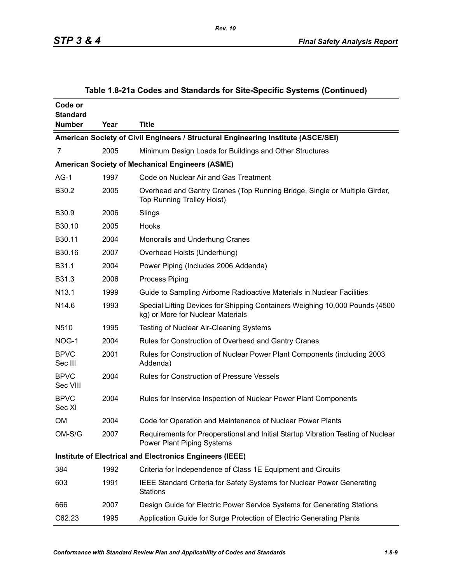| Code or<br><b>Standard</b> |      |                                                                                                                       |
|----------------------------|------|-----------------------------------------------------------------------------------------------------------------------|
| <b>Number</b>              | Year | <b>Title</b>                                                                                                          |
|                            |      | American Society of Civil Engineers / Structural Engineering Institute (ASCE/SEI)                                     |
| 7                          | 2005 | Minimum Design Loads for Buildings and Other Structures                                                               |
|                            |      | <b>American Society of Mechanical Engineers (ASME)</b>                                                                |
| $AG-1$                     | 1997 | Code on Nuclear Air and Gas Treatment                                                                                 |
| B30.2                      | 2005 | Overhead and Gantry Cranes (Top Running Bridge, Single or Multiple Girder,<br><b>Top Running Trolley Hoist)</b>       |
| B30.9                      | 2006 | Slings                                                                                                                |
| B30.10                     | 2005 | Hooks                                                                                                                 |
| B30.11                     | 2004 | Monorails and Underhung Cranes                                                                                        |
| B30.16                     | 2007 | Overhead Hoists (Underhung)                                                                                           |
| B31.1                      | 2004 | Power Piping (Includes 2006 Addenda)                                                                                  |
| B31.3                      | 2006 | Process Piping                                                                                                        |
| N13.1                      | 1999 | Guide to Sampling Airborne Radioactive Materials in Nuclear Facilities                                                |
| N <sub>14.6</sub>          | 1993 | Special Lifting Devices for Shipping Containers Weighing 10,000 Pounds (4500<br>kg) or More for Nuclear Materials     |
| N510                       | 1995 | Testing of Nuclear Air-Cleaning Systems                                                                               |
| NOG-1                      | 2004 | Rules for Construction of Overhead and Gantry Cranes                                                                  |
| <b>BPVC</b><br>Sec III     | 2001 | Rules for Construction of Nuclear Power Plant Components (including 2003<br>Addenda)                                  |
| <b>BPVC</b><br>Sec VIII    | 2004 | <b>Rules for Construction of Pressure Vessels</b>                                                                     |
| <b>BPVC</b><br>Sec XI      | 2004 | Rules for Inservice Inspection of Nuclear Power Plant Components                                                      |
| <b>OM</b>                  | 2004 | Code for Operation and Maintenance of Nuclear Power Plants                                                            |
| $OM-S/G$                   | 2007 | Requirements for Preoperational and Initial Startup Vibration Testing of Nuclear<br><b>Power Plant Piping Systems</b> |
|                            |      | <b>Institute of Electrical and Electronics Engineers (IEEE)</b>                                                       |
| 384                        | 1992 | Criteria for Independence of Class 1E Equipment and Circuits                                                          |
| 603                        | 1991 | IEEE Standard Criteria for Safety Systems for Nuclear Power Generating<br><b>Stations</b>                             |
| 666                        | 2007 | Design Guide for Electric Power Service Systems for Generating Stations                                               |
| C62.23                     | 1995 | Application Guide for Surge Protection of Electric Generating Plants                                                  |

## **Table 1.8-21a Codes and Standards for Site-Specific Systems (Continued)**

*Rev. 10*